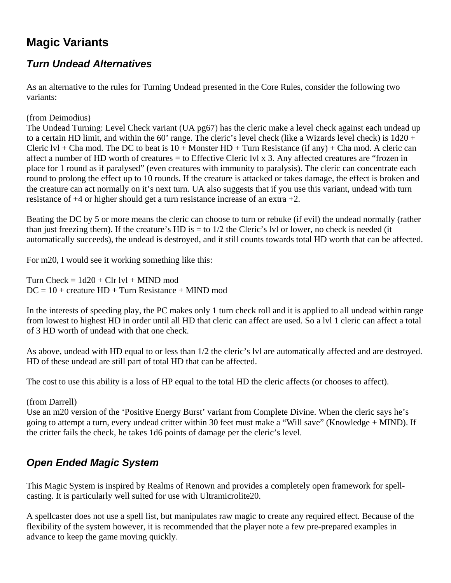# **Magic Variants**

### *Turn Undead Alternatives*

As an alternative to the rules for Turning Undead presented in the Core Rules, consider the following two variants:

#### (from Deimodius)

The Undead Turning: Level Check variant (UA pg67) has the cleric make a level check against each undead up to a certain HD limit, and within the 60' range. The cleric's level check (like a Wizards level check) is 1d20 + Cleric  $|v|$  + Cha mod. The DC to beat is  $10 +$  Monster HD + Turn Resistance (if any) + Cha mod. A cleric can affect a number of HD worth of creatures = to Effective Cleric lvl x 3. Any affected creatures are "frozen in place for 1 round as if paralysed" (even creatures with immunity to paralysis). The cleric can concentrate each round to prolong the effect up to 10 rounds. If the creature is attacked or takes damage, the effect is broken and the creature can act normally on it's next turn. UA also suggests that if you use this variant, undead with turn resistance of +4 or higher should get a turn resistance increase of an extra +2.

Beating the DC by 5 or more means the cleric can choose to turn or rebuke (if evil) the undead normally (rather than just freezing them). If the creature's HD is  $=$  to  $1/2$  the Cleric's lvl or lower, no check is needed (it automatically succeeds), the undead is destroyed, and it still counts towards total HD worth that can be affected.

For m20, I would see it working something like this:

Turn Check =  $1d20 + Clr$  lvl + MIND mod  $DC = 10 + \text{create UP} + \text{Turn}$  Resistance + MIND mod

In the interests of speeding play, the PC makes only 1 turn check roll and it is applied to all undead within range from lowest to highest HD in order until all HD that cleric can affect are used. So a lvl 1 cleric can affect a total of 3 HD worth of undead with that one check.

As above, undead with HD equal to or less than 1/2 the cleric's lvl are automatically affected and are destroyed. HD of these undead are still part of total HD that can be affected.

The cost to use this ability is a loss of HP equal to the total HD the cleric affects (or chooses to affect).

#### (from Darrell)

Use an m20 version of the 'Positive Energy Burst' variant from Complete Divine. When the cleric says he's going to attempt a turn, every undead critter within 30 feet must make a "Will save" (Knowledge + MIND). If the critter fails the check, he takes 1d6 points of damage per the cleric's level.

### *Open Ended Magic System*

This Magic System is inspired by Realms of Renown and provides a completely open framework for spellcasting. It is particularly well suited for use with Ultramicrolite20.

A spellcaster does not use a spell list, but manipulates raw magic to create any required effect. Because of the flexibility of the system however, it is recommended that the player note a few pre-prepared examples in advance to keep the game moving quickly.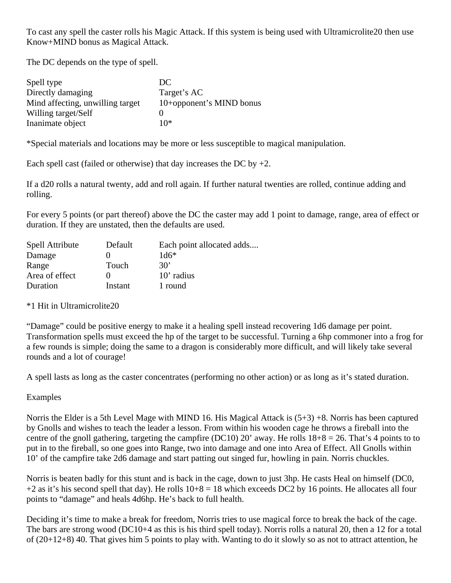To cast any spell the caster rolls his Magic Attack. If this system is being used with Ultramicrolite20 then use Know+MIND bonus as Magical Attack.

The DC depends on the type of spell.

| Spell type                       | DC                       |
|----------------------------------|--------------------------|
| Directly damaging                | Target's AC              |
| Mind affecting, unwilling target | 10+opponent's MIND bonus |
| Willing target/Self              |                          |
| Inanimate object                 | 10*                      |

\*Special materials and locations may be more or less susceptible to magical manipulation.

Each spell cast (failed or otherwise) that day increases the DC by  $+2$ .

If a d20 rolls a natural twenty, add and roll again. If further natural twenties are rolled, continue adding and rolling.

For every 5 points (or part thereof) above the DC the caster may add 1 point to damage, range, area of effect or duration. If they are unstated, then the defaults are used.

| <b>Spell Attribute</b> | Default | Each point allocated adds |
|------------------------|---------|---------------------------|
| Damage                 | 0       | $1d6*$                    |
| Range                  | Touch   | $30^{\circ}$              |
| Area of effect         | 0       | 10' radius                |
| Duration               | Instant | 1 round                   |

\*1 Hit in Ultramicrolite20

"Damage" could be positive energy to make it a healing spell instead recovering 1d6 damage per point. Transformation spells must exceed the hp of the target to be successful. Turning a 6hp commoner into a frog for a few rounds is simple; doing the same to a dragon is considerably more difficult, and will likely take several rounds and a lot of courage!

A spell lasts as long as the caster concentrates (performing no other action) or as long as it's stated duration.

#### Examples

Norris the Elder is a 5th Level Mage with MIND 16. His Magical Attack is (5+3) +8. Norris has been captured by Gnolls and wishes to teach the leader a lesson. From within his wooden cage he throws a fireball into the centre of the gnoll gathering, targeting the campfire (DC10) 20' away. He rolls  $18+8 = 26$ . That's 4 points to to put in to the fireball, so one goes into Range, two into damage and one into Area of Effect. All Gnolls within 10' of the campfire take 2d6 damage and start patting out singed fur, howling in pain. Norris chuckles.

Norris is beaten badly for this stunt and is back in the cage, down to just 3hp. He casts Heal on himself (DC0,  $+2$  as it's his second spell that day). He rolls  $10+8 = 18$  which exceeds DC2 by 16 points. He allocates all four points to "damage" and heals 4d6hp. He's back to full health.

Deciding it's time to make a break for freedom, Norris tries to use magical force to break the back of the cage. The bars are strong wood (DC10+4 as this is his third spell today). Norris rolls a natural 20, then a 12 for a total of (20+12+8) 40. That gives him 5 points to play with. Wanting to do it slowly so as not to attract attention, he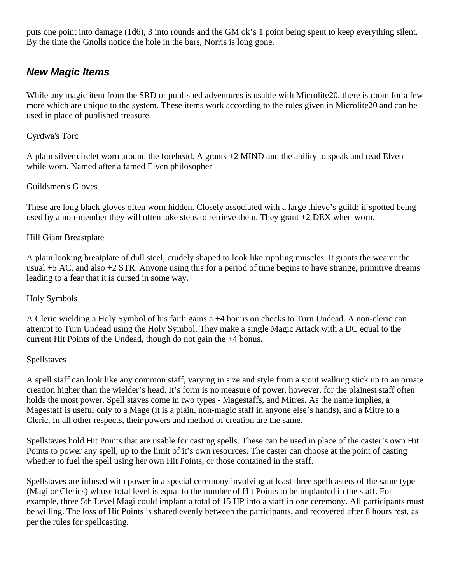puts one point into damage (1d6), 3 into rounds and the GM ok's 1 point being spent to keep everything silent. By the time the Gnolls notice the hole in the bars, Norris is long gone.

### *New Magic Items*

While any magic item from the SRD or published adventures is usable with Microlite20, there is room for a few more which are unique to the system. These items work according to the rules given in Microlite20 and can be used in place of published treasure.

#### Cyrdwa's Torc

A plain silver circlet worn around the forehead. A grants +2 MIND and the ability to speak and read Elven while worn. Named after a famed Elven philosopher

#### Guildsmen's Gloves

These are long black gloves often worn hidden. Closely associated with a large thieve's guild; if spotted being used by a non-member they will often take steps to retrieve them. They grant +2 DEX when worn.

#### Hill Giant Breastplate

A plain looking breatplate of dull steel, crudely shaped to look like rippling muscles. It grants the wearer the usual  $+5$  AC, and also  $+2$  STR. Anyone using this for a period of time begins to have strange, primitive dreams leading to a fear that it is cursed in some way.

#### Holy Symbols

A Cleric wielding a Holy Symbol of his faith gains a +4 bonus on checks to Turn Undead. A non-cleric can attempt to Turn Undead using the Holy Symbol. They make a single Magic Attack with a DC equal to the current Hit Points of the Undead, though do not gain the +4 bonus.

#### Spellstaves

A spell staff can look like any common staff, varying in size and style from a stout walking stick up to an ornate creation higher than the wielder's head. It's form is no measure of power, however, for the plainest staff often holds the most power. Spell staves come in two types - Magestaffs, and Mitres. As the name implies, a Magestaff is useful only to a Mage (it is a plain, non-magic staff in anyone else's hands), and a Mitre to a Cleric. In all other respects, their powers and method of creation are the same.

Spellstaves hold Hit Points that are usable for casting spells. These can be used in place of the caster's own Hit Points to power any spell, up to the limit of it's own resources. The caster can choose at the point of casting whether to fuel the spell using her own Hit Points, or those contained in the staff.

Spellstaves are infused with power in a special ceremony involving at least three spellcasters of the same type (Magi or Clerics) whose total level is equal to the number of Hit Points to be implanted in the staff. For example, three 5th Level Magi could implant a total of 15 HP into a staff in one ceremony. All participants must be willing. The loss of Hit Points is shared evenly between the participants, and recovered after 8 hours rest, as per the rules for spellcasting.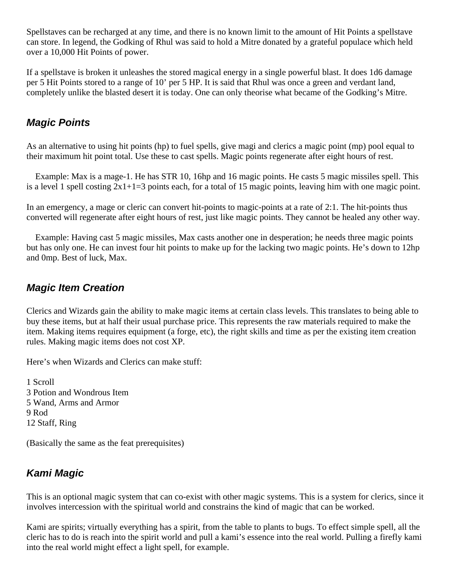Spellstaves can be recharged at any time, and there is no known limit to the amount of Hit Points a spellstave can store. In legend, the Godking of Rhul was said to hold a Mitre donated by a grateful populace which held over a 10,000 Hit Points of power.

If a spellstave is broken it unleashes the stored magical energy in a single powerful blast. It does 1d6 damage per 5 Hit Points stored to a range of 10' per 5 HP. It is said that Rhul was once a green and verdant land, completely unlike the blasted desert it is today. One can only theorise what became of the Godking's Mitre.

### *Magic Points*

As an alternative to using hit points (hp) to fuel spells, give magi and clerics a magic point (mp) pool equal to their maximum hit point total. Use these to cast spells. Magic points regenerate after eight hours of rest.

 Example: Max is a mage-1. He has STR 10, 16hp and 16 magic points. He casts 5 magic missiles spell. This is a level 1 spell costing  $2x1+1=3$  points each, for a total of 15 magic points, leaving him with one magic point.

In an emergency, a mage or cleric can convert hit-points to magic-points at a rate of 2:1. The hit-points thus converted will regenerate after eight hours of rest, just like magic points. They cannot be healed any other way.

 Example: Having cast 5 magic missiles, Max casts another one in desperation; he needs three magic points but has only one. He can invest four hit points to make up for the lacking two magic points. He's down to 12hp and 0mp. Best of luck, Max.

### *Magic Item Creation*

Clerics and Wizards gain the ability to make magic items at certain class levels. This translates to being able to buy these items, but at half their usual purchase price. This represents the raw materials required to make the item. Making items requires equipment (a forge, etc), the right skills and time as per the existing item creation rules. Making magic items does not cost XP.

Here's when Wizards and Clerics can make stuff:

1 Scroll 3 Potion and Wondrous Item 5 Wand, Arms and Armor 9 Rod 12 Staff, Ring

(Basically the same as the feat prerequisites)

## *Kami Magic*

This is an optional magic system that can co-exist with other magic systems. This is a system for clerics, since it involves intercession with the spiritual world and constrains the kind of magic that can be worked.

Kami are spirits; virtually everything has a spirit, from the table to plants to bugs. To effect simple spell, all the cleric has to do is reach into the spirit world and pull a kami's essence into the real world. Pulling a firefly kami into the real world might effect a light spell, for example.